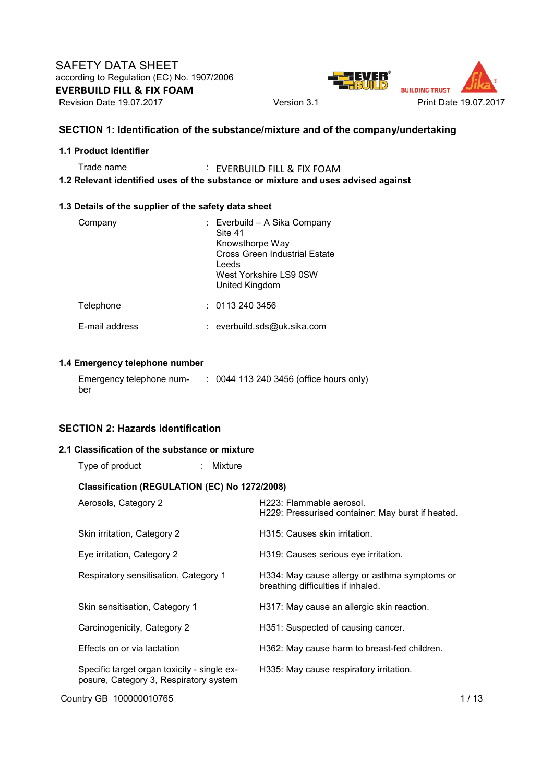

## **SECTION 1: Identification of the substance/mixture and of the company/undertaking**

#### **1.1 Product identifier**

Trade name : EVERBUILD FILL & FIX FOAM **1.2 Relevant identified uses of the substance or mixture and uses advised against** 

#### **1.3 Details of the supplier of the safety data sheet**

| Company        | : Everbuild - A Sika Company<br>Site 41<br>Knowsthorpe Way<br>Cross Green Industrial Estate<br>Leeds<br>West Yorkshire LS9 0SW<br>United Kingdom |
|----------------|--------------------------------------------------------------------------------------------------------------------------------------------------|
| Telephone      | : 01132403456                                                                                                                                    |
| E-mail address | : everbuild.sds@uk.sika.com                                                                                                                      |

## **1.4 Emergency telephone number**

| Emergency telephone num- | : 0044 113 240 3456 (office hours only) |
|--------------------------|-----------------------------------------|
| ber                      |                                         |

## **SECTION 2: Hazards identification**

#### **2.1 Classification of the substance or mixture**

| Type of product                                                                       | : Mixture |                                                                                     |
|---------------------------------------------------------------------------------------|-----------|-------------------------------------------------------------------------------------|
| Classification (REGULATION (EC) No 1272/2008)                                         |           |                                                                                     |
| Aerosols, Category 2                                                                  |           | H223: Flammable aerosol.<br>H229: Pressurised container: May burst if heated.       |
| Skin irritation, Category 2                                                           |           | H315: Causes skin irritation.                                                       |
| Eye irritation, Category 2                                                            |           | H319: Causes serious eye irritation.                                                |
| Respiratory sensitisation, Category 1                                                 |           | H334: May cause allergy or asthma symptoms or<br>breathing difficulties if inhaled. |
| Skin sensitisation, Category 1                                                        |           | H317: May cause an allergic skin reaction.                                          |
| Carcinogenicity, Category 2                                                           |           | H351: Suspected of causing cancer.                                                  |
| Effects on or via lactation                                                           |           | H362: May cause harm to breast-fed children.                                        |
| Specific target organ toxicity - single ex-<br>posure, Category 3, Respiratory system |           | H335: May cause respiratory irritation.                                             |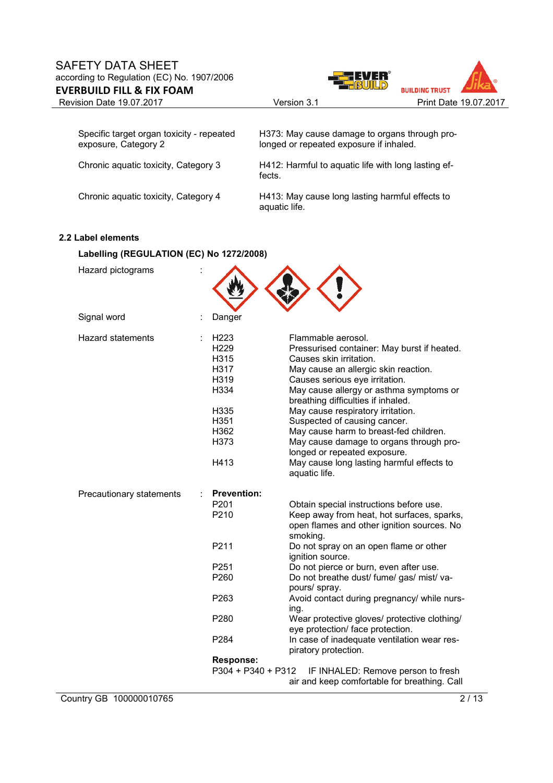

| Specific target organ toxicity - repeated<br>exposure, Category 2 | H373: May cause damage to organs through pro-<br>longed or repeated exposure if inhaled. |
|-------------------------------------------------------------------|------------------------------------------------------------------------------------------|
| Chronic aquatic toxicity, Category 3                              | H412: Harmful to aquatic life with long lasting ef-<br>fects.                            |
| Chronic aquatic toxicity, Category 4                              | H413: May cause long lasting harmful effects to<br>aquatic life.                         |

## **2.2 Label elements**

## **Labelling (REGULATION (EC) No 1272/2008)**

| Hazard pictograms        |                                                                                                                                     |                                                                                                                                                                                                                                                                                                                                                                                                                                                                                                                                                                               |
|--------------------------|-------------------------------------------------------------------------------------------------------------------------------------|-------------------------------------------------------------------------------------------------------------------------------------------------------------------------------------------------------------------------------------------------------------------------------------------------------------------------------------------------------------------------------------------------------------------------------------------------------------------------------------------------------------------------------------------------------------------------------|
| Signal word              | Danger                                                                                                                              |                                                                                                                                                                                                                                                                                                                                                                                                                                                                                                                                                                               |
| <b>Hazard statements</b> | H223<br>H <sub>229</sub><br>H315<br>H317<br>H319<br>H334<br>H335<br>H351<br>H362<br>H373<br>H413                                    | Flammable aerosol.<br>Pressurised container: May burst if heated.<br>Causes skin irritation.<br>May cause an allergic skin reaction.<br>Causes serious eye irritation.<br>May cause allergy or asthma symptoms or<br>breathing difficulties if inhaled.<br>May cause respiratory irritation.<br>Suspected of causing cancer.<br>May cause harm to breast-fed children.<br>May cause damage to organs through pro-<br>longed or repeated exposure.<br>May cause long lasting harmful effects to<br>aquatic life.                                                               |
| Precautionary statements | <b>Prevention:</b><br>P201<br>P210<br>P211<br>P <sub>251</sub><br>P260<br>P263<br>P280<br>P284<br>Response:<br>$P304 + P340 + P312$ | Obtain special instructions before use.<br>Keep away from heat, hot surfaces, sparks,<br>open flames and other ignition sources. No<br>smoking.<br>Do not spray on an open flame or other<br>ignition source.<br>Do not pierce or burn, even after use.<br>Do not breathe dust/ fume/ gas/ mist/ va-<br>pours/ spray.<br>Avoid contact during pregnancy/ while nurs-<br>ing.<br>Wear protective gloves/ protective clothing/<br>eye protection/ face protection.<br>In case of inadequate ventilation wear res-<br>piratory protection.<br>IF INHALED: Remove person to fresh |
|                          |                                                                                                                                     | air and keep comfortable for breathing. Call                                                                                                                                                                                                                                                                                                                                                                                                                                                                                                                                  |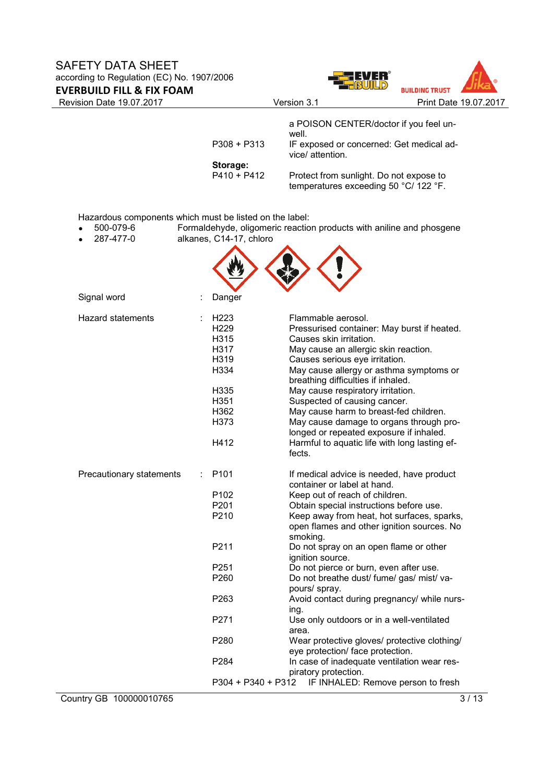



| <b>Revision Date 19.07.2017</b>                         |                         | Version 3.1                                                                      | Print Date 19.07.2017 |
|---------------------------------------------------------|-------------------------|----------------------------------------------------------------------------------|-----------------------|
|                                                         |                         | a POISON CENTER/doctor if you feel un-<br>well.                                  |                       |
|                                                         | $P308 + P313$           | IF exposed or concerned: Get medical ad-<br>vice/ attention.                     |                       |
|                                                         | Storage:                |                                                                                  |                       |
|                                                         | $P410 + P412$           | Protect from sunlight. Do not expose to<br>temperatures exceeding 50 °C/ 122 °F. |                       |
| Hazardous components which must be listed on the label: |                         |                                                                                  |                       |
| 500-079-6                                               |                         | Formaldehyde, oligomeric reaction products with aniline and phosgene             |                       |
| 287-477-0                                               | alkanes, C14-17, chloro |                                                                                  |                       |
|                                                         |                         |                                                                                  |                       |
| Signal word                                             | Danger                  |                                                                                  |                       |
| Hazard statements                                       | H223                    | Flammable aerosol.                                                               |                       |
|                                                         | H <sub>229</sub>        | Pressurised container: May burst if heated.                                      |                       |
|                                                         | H315                    | Causes skin irritation.                                                          |                       |
|                                                         | H317                    | May cause an allergic skin reaction.                                             |                       |
|                                                         | H319                    | Causes serious eye irritation.                                                   |                       |
|                                                         |                         |                                                                                  |                       |
|                                                         | H334                    | May cause allergy or asthma symptoms or                                          |                       |
|                                                         |                         | breathing difficulties if inhaled.                                               |                       |
|                                                         | H335                    | May cause respiratory irritation.                                                |                       |
|                                                         | H351                    | Suspected of causing cancer.                                                     |                       |
|                                                         | H362                    | May cause harm to breast-fed children.                                           |                       |
|                                                         | H373                    | May cause damage to organs through pro-                                          |                       |
|                                                         |                         | longed or repeated exposure if inhaled.                                          |                       |
|                                                         | H412                    | Harmful to aquatic life with long lasting ef-                                    |                       |
|                                                         |                         | fects.                                                                           |                       |
| Precautionary statements                                | P101                    | If medical advice is needed, have product                                        |                       |
|                                                         |                         | container or label at hand.                                                      |                       |
|                                                         | P <sub>102</sub>        | Keep out of reach of children.                                                   |                       |
|                                                         | P201                    | Obtain special instructions before use.                                          |                       |
|                                                         | P210                    | Keep away from heat, hot surfaces, sparks,                                       |                       |
|                                                         |                         | open flames and other ignition sources. No                                       |                       |
|                                                         |                         | smoking.                                                                         |                       |
|                                                         | P211                    | Do not spray on an open flame or other                                           |                       |
|                                                         |                         | ignition source.                                                                 |                       |
|                                                         | P251                    | Do not pierce or burn, even after use.                                           |                       |
|                                                         | P260                    | Do not breathe dust/ fume/ gas/ mist/ va-                                        |                       |
|                                                         |                         | pours/ spray.                                                                    |                       |
|                                                         | P263                    | Avoid contact during pregnancy/ while nurs-                                      |                       |
|                                                         |                         | ing.                                                                             |                       |
|                                                         | P271                    | Use only outdoors or in a well-ventilated                                        |                       |
|                                                         |                         | area.                                                                            |                       |
|                                                         | P280                    | Wear protective gloves/ protective clothing/                                     |                       |
|                                                         |                         | eye protection/ face protection.                                                 |                       |
|                                                         | P284                    |                                                                                  |                       |
|                                                         |                         | In case of inadequate ventilation wear res-                                      |                       |
|                                                         |                         | piratory protection.                                                             |                       |
|                                                         | $P304 + P340 + P312$    | IF INHALED: Remove person to fresh                                               |                       |

**Country GB 100000010765** 3 / 13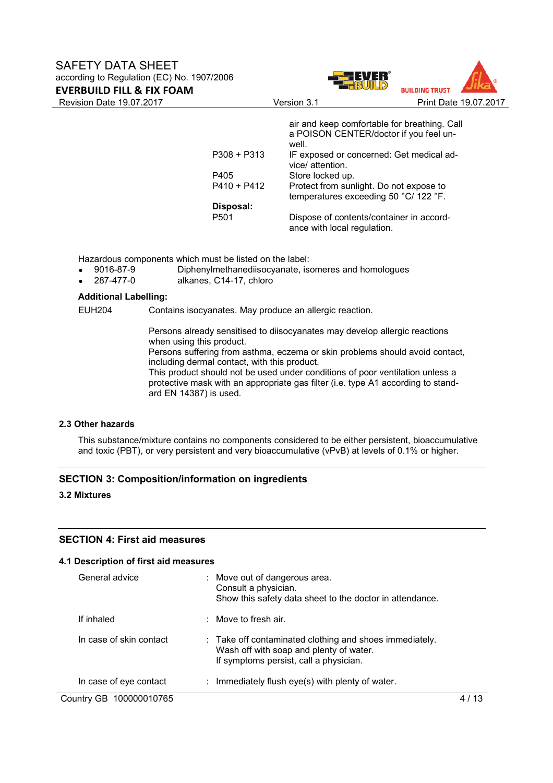



|             | air and keep comfortable for breathing. Call                            |
|-------------|-------------------------------------------------------------------------|
|             | a POISON CENTER/doctor if you feel un-<br>well.                         |
| P308 + P313 | IF exposed or concerned: Get medical ad-<br>vice/ attention.            |
| P405        | Store locked up.                                                        |
| P410 + P412 | Protect from sunlight. Do not expose to                                 |
|             | temperatures exceeding 50 °C/ 122 °F.                                   |
| Disposal:   |                                                                         |
| P501        | Dispose of contents/container in accord-<br>ance with local regulation. |

Hazardous components which must be listed on the label:<br>• 9016-87-9 Diphenvlmethanediisocyanate. is

- Diphenylmethanediisocyanate, isomeres and homologues
- 287-477-0 alkanes, C14-17, chloro

#### **Additional Labelling:**

EUH204 Contains isocyanates. May produce an allergic reaction.

Persons already sensitised to diisocyanates may develop allergic reactions when using this product.

Persons suffering from asthma, eczema or skin problems should avoid contact, including dermal contact, with this product.

This product should not be used under conditions of poor ventilation unless a protective mask with an appropriate gas filter (i.e. type A1 according to standard EN 14387) is used.

#### **2.3 Other hazards**

This substance/mixture contains no components considered to be either persistent, bioaccumulative and toxic (PBT), or very persistent and very bioaccumulative (vPvB) at levels of 0.1% or higher.

## **SECTION 3: Composition/information on ingredients**

#### **3.2 Mixtures**

#### **SECTION 4: First aid measures**

#### **4.1 Description of first aid measures**

| General advice          | : Move out of dangerous area.<br>Consult a physician.<br>Show this safety data sheet to the doctor in attendance.                            |  |
|-------------------------|----------------------------------------------------------------------------------------------------------------------------------------------|--|
| If inhaled              | $\therefore$ Move to fresh air.                                                                                                              |  |
| In case of skin contact | : Take off contaminated clothing and shoes immediately.<br>Wash off with soap and plenty of water.<br>If symptoms persist, call a physician. |  |
| In case of eye contact  | Immediately flush eye(s) with plenty of water.<br>÷                                                                                          |  |
| Country GB 100000010765 |                                                                                                                                              |  |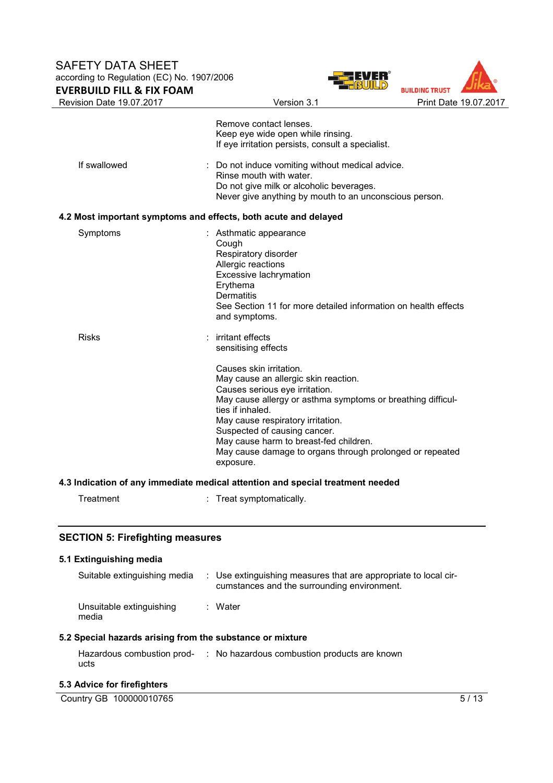



|                                                                 | Remove contact lenses.                                                                                                                                                                                                                                                                                                                                                       |
|-----------------------------------------------------------------|------------------------------------------------------------------------------------------------------------------------------------------------------------------------------------------------------------------------------------------------------------------------------------------------------------------------------------------------------------------------------|
|                                                                 | Keep eye wide open while rinsing.<br>If eye irritation persists, consult a specialist.                                                                                                                                                                                                                                                                                       |
| If swallowed                                                    | : Do not induce vomiting without medical advice.<br>Rinse mouth with water.<br>Do not give milk or alcoholic beverages.<br>Never give anything by mouth to an unconscious person.                                                                                                                                                                                            |
| 4.2 Most important symptoms and effects, both acute and delayed |                                                                                                                                                                                                                                                                                                                                                                              |
| Symptoms                                                        | : Asthmatic appearance<br>Cough<br>Respiratory disorder<br>Allergic reactions<br>Excessive lachrymation<br>Erythema<br><b>Dermatitis</b><br>See Section 11 for more detailed information on health effects<br>and symptoms.                                                                                                                                                  |
| <b>Risks</b>                                                    | : irritant effects<br>sensitising effects                                                                                                                                                                                                                                                                                                                                    |
|                                                                 | Causes skin irritation.<br>May cause an allergic skin reaction.<br>Causes serious eye irritation.<br>May cause allergy or asthma symptoms or breathing difficul-<br>ties if inhaled.<br>May cause respiratory irritation.<br>Suspected of causing cancer.<br>May cause harm to breast-fed children.<br>May cause damage to organs through prolonged or repeated<br>exposure. |
|                                                                 | 4.3 Indication of any immediate medical attention and special treatment needed                                                                                                                                                                                                                                                                                               |
| Treatment                                                       | : Treat symptomatically.                                                                                                                                                                                                                                                                                                                                                     |
|                                                                 |                                                                                                                                                                                                                                                                                                                                                                              |

## **SECTION 5: Firefighting measures**

# **5.1 Extinguishing media**  Suitable extinguishing media : Use extinguishing measures that are appropriate to local circumstances and the surrounding environment. Unsuitable extinguishing media : Water

## **5.2 Special hazards arising from the substance or mixture**

| Hazardous combustion prod- | : No hazardous combustion products are known |
|----------------------------|----------------------------------------------|
| ucts                       |                                              |

## **5.3 Advice for firefighters**

| Country GB 100000010765 | w |
|-------------------------|---|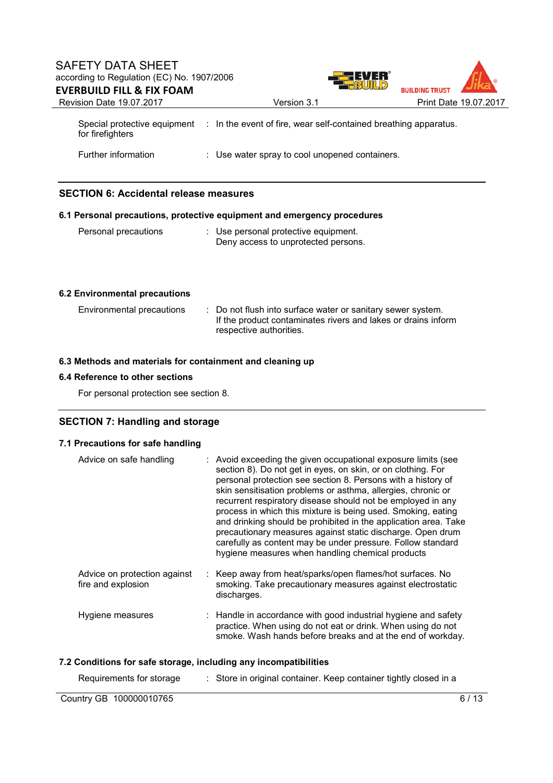## SAFETY DATA SHEET according to Regulation (EC) No. 1907/2006 **BUILDING TRUST EVERBUILD FILL & FIX FOAM**  Revision Date 19.07.2017 Version 3.1 Print Date 19.07.2017 Special protective equipment : In the event of fire, wear self-contained breathing apparatus. for firefighters

Further information : Use water spray to cool unopened containers.

## **SECTION 6: Accidental release measures**

#### **6.1 Personal precautions, protective equipment and emergency procedures**

Personal precautions : Use personal protective equipment. Deny access to unprotected persons.

## **6.2 Environmental precautions**

| Environmental precautions | : Do not flush into surface water or sanitary sewer system.<br>If the product contaminates rivers and lakes or drains inform<br>respective authorities. |
|---------------------------|---------------------------------------------------------------------------------------------------------------------------------------------------------|
|                           |                                                                                                                                                         |

#### **6.3 Methods and materials for containment and cleaning up**

## **6.4 Reference to other sections**

For personal protection see section 8.

## **SECTION 7: Handling and storage**

## **7.1 Precautions for safe handling**

| Advice on safe handling                            | : Avoid exceeding the given occupational exposure limits (see<br>section 8). Do not get in eyes, on skin, or on clothing. For<br>personal protection see section 8. Persons with a history of<br>skin sensitisation problems or asthma, allergies, chronic or<br>recurrent respiratory disease should not be employed in any<br>process in which this mixture is being used. Smoking, eating<br>and drinking should be prohibited in the application area. Take<br>precautionary measures against static discharge. Open drum<br>carefully as content may be under pressure. Follow standard<br>hygiene measures when handling chemical products |
|----------------------------------------------------|--------------------------------------------------------------------------------------------------------------------------------------------------------------------------------------------------------------------------------------------------------------------------------------------------------------------------------------------------------------------------------------------------------------------------------------------------------------------------------------------------------------------------------------------------------------------------------------------------------------------------------------------------|
| Advice on protection against<br>fire and explosion | : Keep away from heat/sparks/open flames/hot surfaces. No<br>smoking. Take precautionary measures against electrostatic<br>discharges.                                                                                                                                                                                                                                                                                                                                                                                                                                                                                                           |
| Hygiene measures                                   | : Handle in accordance with good industrial hygiene and safety<br>practice. When using do not eat or drink. When using do not<br>smoke. Wash hands before breaks and at the end of workday.                                                                                                                                                                                                                                                                                                                                                                                                                                                      |

#### **7.2 Conditions for safe storage, including any incompatibilities**

| Requirements for storage | Store in original container. Keep container tightly closed in a |      |
|--------------------------|-----------------------------------------------------------------|------|
| Country GB 100000010765  |                                                                 | 6/13 |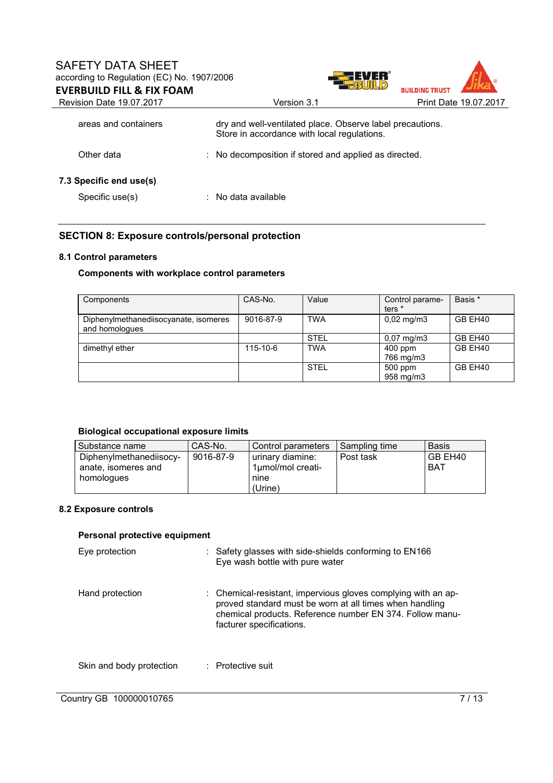

| Revision Date 19.07.2017 | Version 3.1                                                                                              | Print Date 19.07.2017 |
|--------------------------|----------------------------------------------------------------------------------------------------------|-----------------------|
| areas and containers     | dry and well-ventilated place. Observe label precautions.<br>Store in accordance with local regulations. |                       |
| Other data               | : No decomposition if stored and applied as directed.                                                    |                       |
| 7.3 Specific end use(s)  |                                                                                                          |                       |
| Specific use(s)          | $:$ No data available                                                                                    |                       |

## **SECTION 8: Exposure controls/personal protection**

#### **8.1 Control parameters**

## **Components with workplace control parameters**

| Components                                              | CAS-No.   | Value       | Control parame-<br>ters <sup>*</sup> | Basis * |
|---------------------------------------------------------|-----------|-------------|--------------------------------------|---------|
| Diphenylmethanediisocyanate, isomeres<br>and homologues | 9016-87-9 | <b>TWA</b>  | $0,02 \text{ mg/m}$ 3                | GB EH40 |
|                                                         |           | <b>STEL</b> | $0.07 \text{ mg/m}$ 3                | GB EH40 |
| dimethyl ether                                          | 115-10-6  | <b>TWA</b>  | $400$ ppm<br>766 mg/m3               | GB EH40 |
|                                                         |           | <b>STEL</b> | 500 ppm<br>958 mg/m3                 | GB EH40 |

## **Biological occupational exposure limits**

| Substance name                                               | CAS-No.   | Control parameters                            | Sampling time | <b>Basis</b>          |
|--------------------------------------------------------------|-----------|-----------------------------------------------|---------------|-----------------------|
| Diphenylmethanediisocy-<br>anate, isomeres and<br>homologues | 9016-87-9 | urinary diamine:<br>1µmol/mol creati-<br>nine | Post task     | GB EH40<br><b>BAT</b> |
|                                                              |           | (Urine)                                       |               |                       |

## **8.2 Exposure controls**

#### **Personal protective equipment**

| Eye protection           | $\therefore$ Safety glasses with side-shields conforming to EN166<br>Eye wash bottle with pure water                                                                                                             |
|--------------------------|------------------------------------------------------------------------------------------------------------------------------------------------------------------------------------------------------------------|
| Hand protection          | : Chemical-resistant, impervious gloves complying with an ap-<br>proved standard must be worn at all times when handling<br>chemical products. Reference number EN 374. Follow manu-<br>facturer specifications. |
| Skin and body protection | : Protective suit                                                                                                                                                                                                |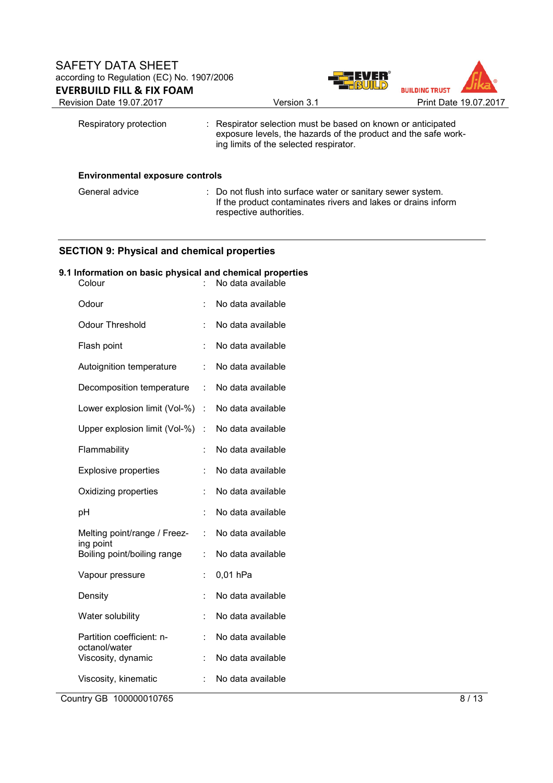

| Respiratory protection                 | : Respirator selection must be based on known or anticipated<br>exposure levels, the hazards of the product and the safe work-<br>ing limits of the selected respirator. |
|----------------------------------------|--------------------------------------------------------------------------------------------------------------------------------------------------------------------------|
| <b>Environmental exposure controls</b> |                                                                                                                                                                          |

| General advice | : Do not flush into surface water or sanitary sewer system.   |
|----------------|---------------------------------------------------------------|
|                | If the product contaminates rivers and lakes or drains inform |
|                | respective authorities.                                       |

## **SECTION 9: Physical and chemical properties**

## **9.1 Information on basic physical and chemical properties**

| Colour                                     |   | No data available |
|--------------------------------------------|---|-------------------|
| Odour                                      |   | No data available |
| <b>Odour Threshold</b>                     |   | No data available |
| Flash point                                |   | No data available |
| Autoignition temperature                   |   | No data available |
| Decomposition temperature                  | t | No data available |
| Lower explosion limit (Vol-%)              | t | No data available |
| Upper explosion limit (Vol-%)              | t | No data available |
| Flammability                               | t | No data available |
| <b>Explosive properties</b>                |   | No data available |
| Oxidizing properties                       | t | No data available |
| рH                                         | t | No data available |
| Melting point/range / Freez-<br>ing point  | t | No data available |
| Boiling point/boiling range                |   | No data available |
| Vapour pressure                            | t | 0,01 hPa          |
| Density                                    |   | No data available |
| Water solubility                           |   | No data available |
| Partition coefficient: n-<br>octanol/water | t | No data available |
| Viscosity, dynamic                         | t | No data available |
| Viscosity, kinematic                       |   | No data available |

Country GB 100000010765 8 / 13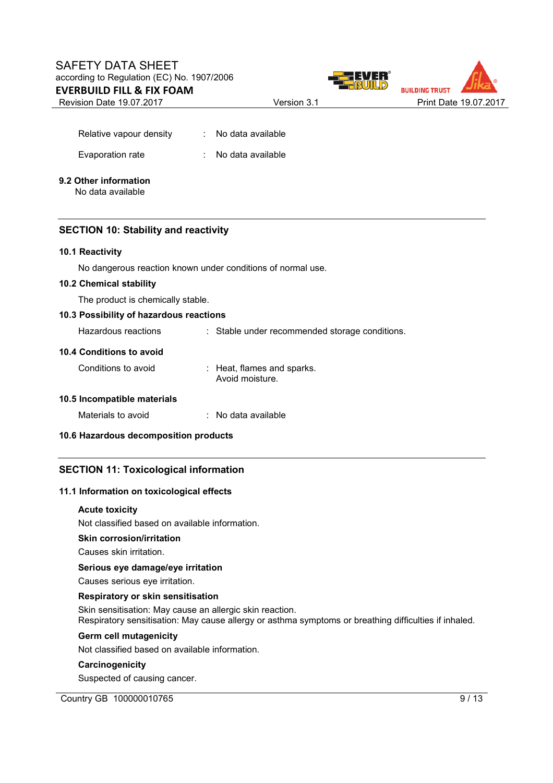Revision Date 19.07.2017 Version 3.1 Print Date 19.07.2017





| Relative vapour density | No data available |
|-------------------------|-------------------|
| Evaporation rate        | No data available |

# **9.2 Other information**

No data available

## **SECTION 10: Stability and reactivity**

#### **10.1 Reactivity**

No dangerous reaction known under conditions of normal use.

#### **10.2 Chemical stability**

The product is chemically stable.

#### **10.3 Possibility of hazardous reactions**

Hazardous reactions : Stable under recommended storage conditions.

#### **10.4 Conditions to avoid**

| Conditions to avoid | : Heat, flames and sparks. |
|---------------------|----------------------------|
|                     | Avoid moisture.            |

## **10.5 Incompatible materials**

| Materials to avoid | No data available |
|--------------------|-------------------|
|                    |                   |

## **10.6 Hazardous decomposition products**

## **SECTION 11: Toxicological information**

#### **11.1 Information on toxicological effects**

#### **Acute toxicity**

Not classified based on available information.

## **Skin corrosion/irritation**

Causes skin irritation.

#### **Serious eye damage/eye irritation**

Causes serious eye irritation.

## **Respiratory or skin sensitisation**

Skin sensitisation: May cause an allergic skin reaction. Respiratory sensitisation: May cause allergy or asthma symptoms or breathing difficulties if inhaled.

#### **Germ cell mutagenicity**

Not classified based on available information.

## **Carcinogenicity**

Suspected of causing cancer.

## Country GB 100000010765 9/13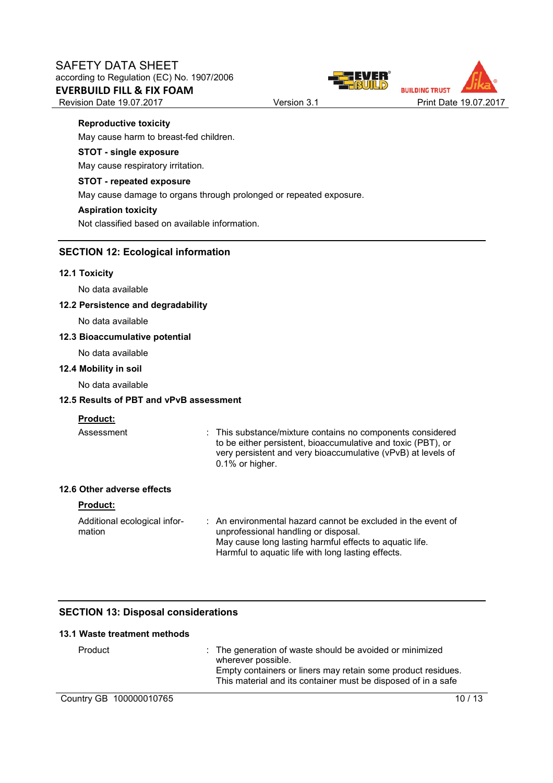



#### **Reproductive toxicity**

May cause harm to breast-fed children.

#### **STOT - single exposure**

May cause respiratory irritation.

#### **STOT - repeated exposure**

May cause damage to organs through prolonged or repeated exposure.

#### **Aspiration toxicity**

Not classified based on available information.

## **SECTION 12: Ecological information**

#### **12.1 Toxicity**

No data available

#### **12.2 Persistence and degradability**

No data available

#### **12.3 Bioaccumulative potential**

No data available

#### **12.4 Mobility in soil**

No data available

#### **12.5 Results of PBT and vPvB assessment**

## **Product:**

Assessment : This substance/mixture contains no components considered to be either persistent, bioaccumulative and toxic (PBT), or very persistent and very bioaccumulative (vPvB) at levels of 0.1% or higher.

## **12.6 Other adverse effects**

#### **Product:**

Additional ecological information : An environmental hazard cannot be excluded in the event of unprofessional handling or disposal. May cause long lasting harmful effects to aquatic life. Harmful to aquatic life with long lasting effects.

## **SECTION 13: Disposal considerations**

| 13.1 Waste treatment methods |                                                                                                                                                                                                                 |
|------------------------------|-----------------------------------------------------------------------------------------------------------------------------------------------------------------------------------------------------------------|
| Product                      | : The generation of waste should be avoided or minimized<br>wherever possible.<br>Empty containers or liners may retain some product residues.<br>This material and its container must be disposed of in a safe |
| Country GB 100000010765      |                                                                                                                                                                                                                 |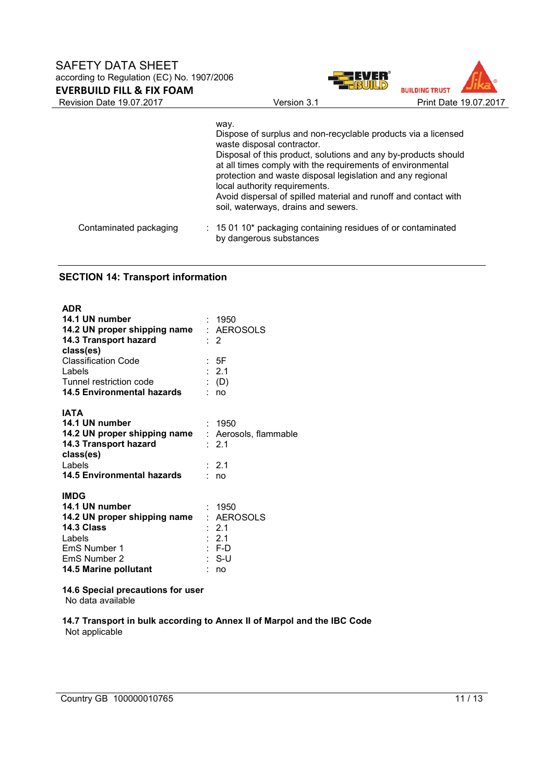Revision Date 19.07.2017 Version 3.1 Print Date 19.07.2017

|                        | way.<br>Dispose of surplus and non-recyclable products via a licensed<br>waste disposal contractor.<br>Disposal of this product, solutions and any by-products should<br>at all times comply with the requirements of environmental<br>protection and waste disposal legislation and any regional<br>local authority requirements.<br>Avoid dispersal of spilled material and runoff and contact with<br>soil, waterways, drains and sewers. |
|------------------------|----------------------------------------------------------------------------------------------------------------------------------------------------------------------------------------------------------------------------------------------------------------------------------------------------------------------------------------------------------------------------------------------------------------------------------------------|
| Contaminated packaging | : 15 01 10* packaging containing residues of or contaminated<br>by dangerous substances                                                                                                                                                                                                                                                                                                                                                      |

## **SECTION 14: Transport information**

| <b>ADR</b><br>14.1 UN number<br>14.2 UN proper shipping name<br>14.3 Transport hazard<br>class(es)<br><b>Classification Code</b><br>Labels<br>Tunnel restriction code<br><b>14.5 Environmental hazards</b> | : 1950<br>: AEROSOLS<br>$\cdot$ 2<br>: 5F<br>: 2.1<br>$\colon$ (D)<br>: no  |
|------------------------------------------------------------------------------------------------------------------------------------------------------------------------------------------------------------|-----------------------------------------------------------------------------|
| <b>IATA</b><br>14.1 UN number<br>14.2 UN proper shipping name : Aerosols, flammable<br>14.3 Transport hazard<br>class(es)<br>Labels<br>14.5 Environmental hazards                                          | : 1950<br>$\therefore$ 2.1<br>: 2.1<br>: no                                 |
| <b>IMDG</b><br>14.1 UN number<br>14.2 UN proper shipping name<br>14.3 Class<br>Labels<br>EmS Number 1<br><b>EmS Number 2</b><br>14.5 Marine pollutant                                                      | : 1950<br>: AEROSOLS<br>: 2.1<br>$\therefore$ 2.1<br>$: F-D$<br>: S-U<br>no |

**14.6 Special precautions for user**

No data available

**14.7 Transport in bulk according to Annex II of Marpol and the IBC Code** Not applicable

**BUILDING TRUST**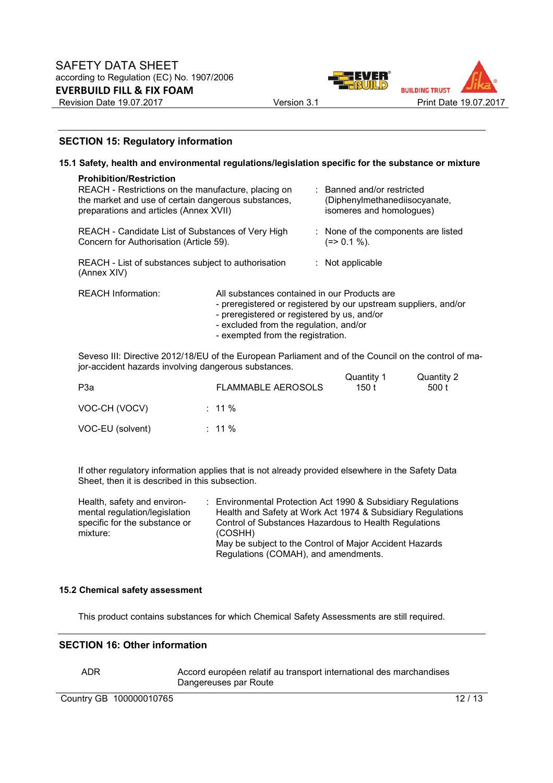



#### **SECTION 15: Regulatory information**

|  | 15.1 Safety, health and environmental regulations/legislation specific for the substance or mixture                                                                                                                                                                                                                                                          |                                                                                                                                                                            |  |                                                                                         |  |
|--|--------------------------------------------------------------------------------------------------------------------------------------------------------------------------------------------------------------------------------------------------------------------------------------------------------------------------------------------------------------|----------------------------------------------------------------------------------------------------------------------------------------------------------------------------|--|-----------------------------------------------------------------------------------------|--|
|  | <b>Prohibition/Restriction</b><br>REACH - Restrictions on the manufacture, placing on<br>the market and use of certain dangerous substances,<br>preparations and articles (Annex XVII)<br>REACH - Candidate List of Substances of Very High<br>Concern for Authorisation (Article 59).<br>REACH - List of substances subject to authorisation<br>(Annex XIV) |                                                                                                                                                                            |  | : Banned and/or restricted<br>(Diphenylmethanediisocyanate,<br>isomeres and homologues) |  |
|  |                                                                                                                                                                                                                                                                                                                                                              |                                                                                                                                                                            |  | : None of the components are listed<br>$(=>0.1\%).$                                     |  |
|  |                                                                                                                                                                                                                                                                                                                                                              |                                                                                                                                                                            |  | $:$ Not applicable                                                                      |  |
|  | <b>REACH Information:</b>                                                                                                                                                                                                                                                                                                                                    | All substances contained in our Products are<br>- preregistered or registered by us, and/or<br>- excluded from the regulation, and/or<br>- exempted from the registration. |  | - preregistered or registered by our upstream suppliers, and/or                         |  |
|  |                                                                                                                                                                                                                                                                                                                                                              |                                                                                                                                                                            |  |                                                                                         |  |

Seveso III: Directive 2012/18/EU of the European Parliament and of the Council on the control of major-accident hazards involving dangerous substances.

| P3a              | <b>FLAMMABLE AEROSOLS</b> | Quantity 1<br>150 t | Quantity 2<br>500 t |
|------------------|---------------------------|---------------------|---------------------|
| VOC-CH (VOCV)    | $: 11\%$                  |                     |                     |
| VOC-EU (solvent) | $: 11\%$                  |                     |                     |

If other regulatory information applies that is not already provided elsewhere in the Safety Data Sheet, then it is described in this subsection.

| Health, safety and environ-               |  | : Environmental Protection Act 1990 & Subsidiary Regulations     |
|-------------------------------------------|--|------------------------------------------------------------------|
| mental regulation/legislation             |  | Health and Safety at Work Act 1974 & Subsidiary Regulations      |
| specific for the substance or<br>mixture: |  | Control of Substances Hazardous to Health Regulations<br>(COSHH) |
|                                           |  | May be subject to the Control of Major Accident Hazards          |
|                                           |  | Regulations (COMAH), and amendments.                             |

#### **15.2 Chemical safety assessment**

This product contains substances for which Chemical Safety Assessments are still required.

#### **SECTION 16: Other information**

ADR Accord européen relatif au transport international des marchandises Dangereuses par Route

Country GB 100000010765 12/13